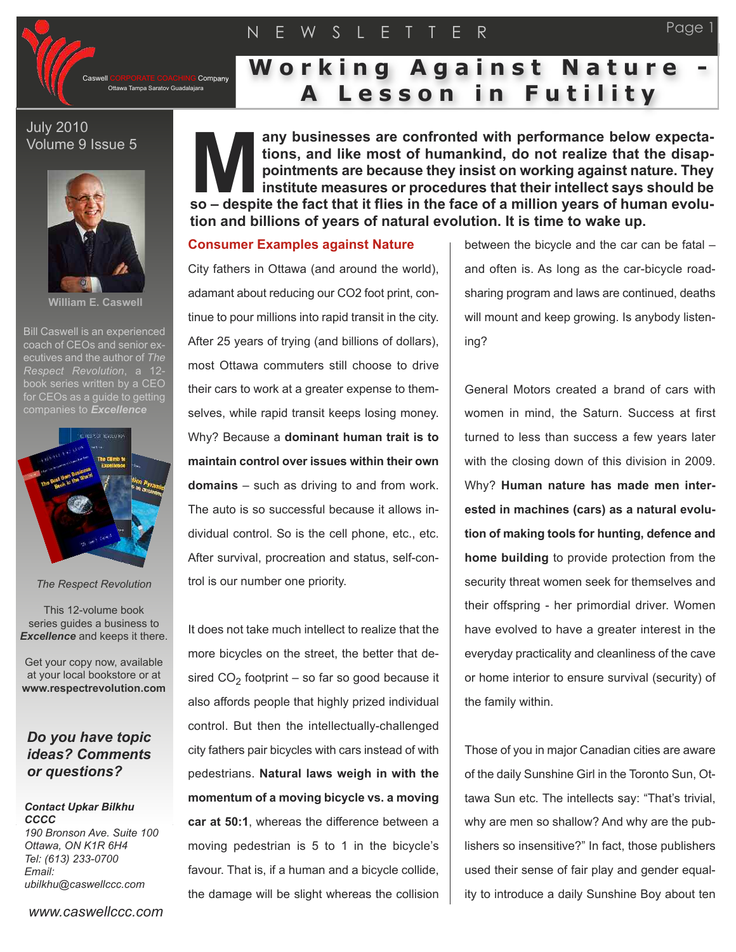# N E W S L E T T E R



# **W o r k i n g A g a i n s t N a t u r e - A L e s s o n i n F u t i l i t y**

## July 2010 Volume 9 Issue 5



**William E. Caswell**

Bill Caswell is an experienced coach of CEOs and senior executives and the author of *The Respect Revolution*, a 12 book series written by a CEO for CEOs as a quide to getting



*The Respect Revolution*

This 12-volume book series guides a business to *Excellence* and keeps it there.

Get your copy now, available at your local bookstore or at **www.respectrevolution.com**

## *Do you have topic ideas? Comments or questions?*

#### *Contact Upkar Bilkhu CCCC 190 Bronson Ave. Suite 100 Ottawa, ON K1R 6H4 Tel: (613) 233-0700*

*Email: ubilkhu@caswellccc.com*

*www.caswellccc.com*

**any businesses are confronted with performance below expectations, and like most of humankind, do not realize that the disappointments are because they insist on working against nature. They institute measures or procedures that their intellect says should be so** – **despite the fact that it flies in the face of a million years of human years of buy institute measures or procedures that their intellect says should be so – despite the fact that it flies in the face of a million tion and billions of years of natural evolution. It is time to wake up.**

### **Consumer Examples against Nature**

City fathers in Ottawa (and around the world), adamant about reducing our CO2 foot print, continue to pour millions into rapid transit in the city. After 25 years of trying (and billions of dollars), most Ottawa commuters still choose to drive their cars to work at a greater expense to themselves, while rapid transit keeps losing money. Why? Because a **dominant human trait is to maintain control over issues within their own domains** – such as driving to and from work. The auto is so successful because it allows individual control. So is the cell phone, etc., etc. After survival, procreation and status, self-control is our number one priority.

It does not take much intellect to realize that the more bicycles on the street, the better that desired  $CO<sub>2</sub>$  footprint – so far so good because it also affords people that highly prized individual control. But then the intellectually-challenged city fathers pair bicycles with cars instead of with pedestrians. **Natural laws weigh in with the momentum of a moving bicycle vs. a moving car at 50:1**, whereas the difference between a moving pedestrian is 5 to 1 in the bicycle's favour. That is, if a human and a bicycle collide, the damage will be slight whereas the collision

between the bicycle and the car can be fatal – and often is. As long as the car-bicycle roadsharing program and laws are continued, deaths will mount and keep growing. Is anybody listening?

Page 1

General Motors created a brand of cars with women in mind, the Saturn. Success at first turned to less than success a few years later with the closing down of this division in 2009. Why? **Human nature has made men interested in machines (cars) as a natural evolution of making tools for hunting, defence and home building** to provide protection from the security threat women seek for themselves and their offspring - her primordial driver. Women have evolved to have a greater interest in the everyday practicality and cleanliness of the cave or home interior to ensure survival (security) of the family within.

Those of you in major Canadian cities are aware of the daily Sunshine Girl in the Toronto Sun, Ottawa Sun etc. The intellects say: "That's trivial, why are men so shallow? And why are the publishers so insensitive?" In fact, those publishers used their sense of fair play and gender equality to introduce a daily Sunshine Boy about ten